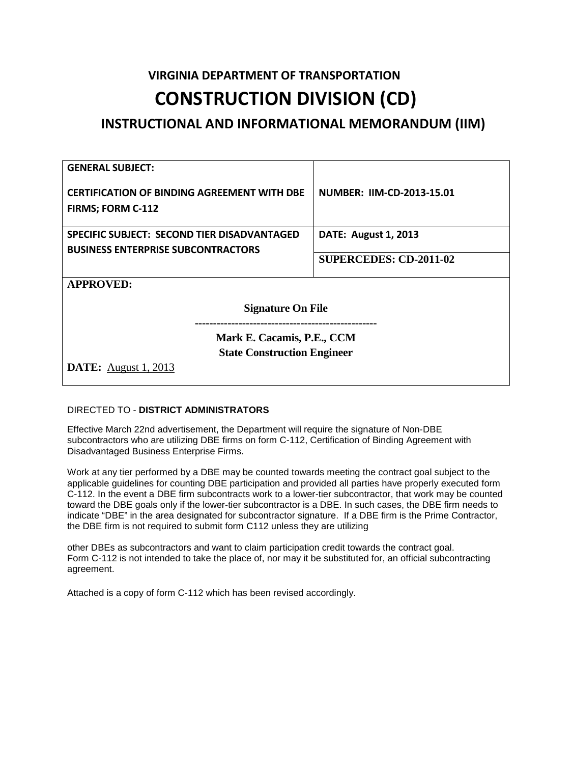# **VIRGINIA DEPARTMENT OF TRANSPORTATION CONSTRUCTION DIVISION (CD)**

## **INSTRUCTIONAL AND INFORMATIONAL MEMORANDUM (IIM)**

| <b>NUMBER: IIM-CD-2013-15.01</b>                                                                |  |  |  |  |  |  |  |
|-------------------------------------------------------------------------------------------------|--|--|--|--|--|--|--|
| <b>DATE: August 1, 2013</b>                                                                     |  |  |  |  |  |  |  |
| <b>SUPERCEDES: CD-2011-02</b>                                                                   |  |  |  |  |  |  |  |
| <b>APPROVED:</b>                                                                                |  |  |  |  |  |  |  |
| <b>Signature On File</b>                                                                        |  |  |  |  |  |  |  |
| Mark E. Cacamis, P.E., CCM<br><b>State Construction Engineer</b><br><b>DATE:</b> August 1, 2013 |  |  |  |  |  |  |  |
|                                                                                                 |  |  |  |  |  |  |  |

### DIRECTED TO - **DISTRICT ADMINISTRATORS**

Effective March 22nd advertisement, the Department will require the signature of Non-DBE subcontractors who are utilizing DBE firms on form C-112, Certification of Binding Agreement with Disadvantaged Business Enterprise Firms.

Work at any tier performed by a DBE may be counted towards meeting the contract goal subject to the applicable guidelines for counting DBE participation and provided all parties have properly executed form C-112. In the event a DBE firm subcontracts work to a lower-tier subcontractor, that work may be counted toward the DBE goals only if the lower-tier subcontractor is a DBE. In such cases, the DBE firm needs to indicate "DBE" in the area designated for subcontractor signature. If a DBE firm is the Prime Contractor, the DBE firm is not required to submit form C112 unless they are utilizing

other DBEs as subcontractors and want to claim participation credit towards the contract goal. Form C-112 is not intended to take the place of, nor may it be substituted for, an official subcontracting agreement.

Attached is a copy of form C-112 which has been revised accordingly.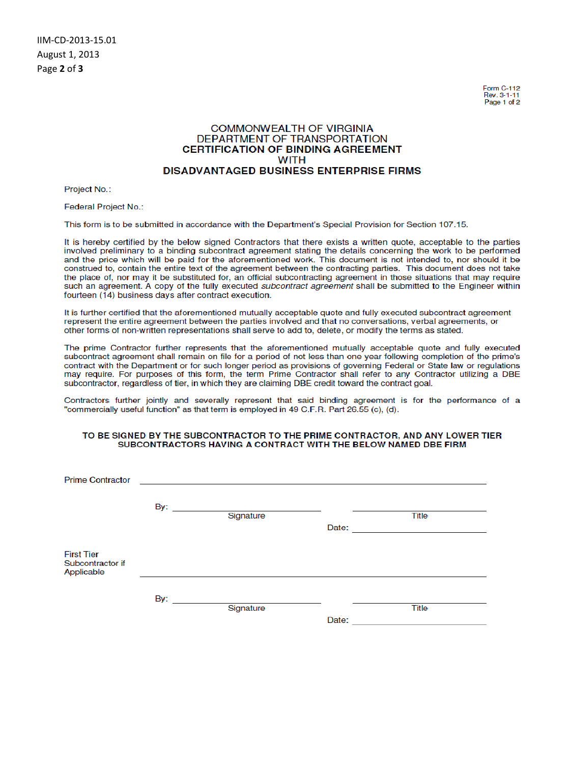**Eorm C-112** Rev. 3-1-11 Page 1 of 2

### **COMMONWEALTH OF VIRGINIA** DEPARTMENT OF TRANSPORTATION **CERTIFICATION OF BINDING AGREEMENT WITH DISADVANTAGED BUSINESS ENTERPRISE FIRMS**

Project No.:

Federal Project No.:

This form is to be submitted in accordance with the Department's Special Provision for Section 107.15.

It is hereby certified by the below signed Contractors that there exists a written quote, acceptable to the parties involved preliminary to a binding subcontract agreement stating the details concerning the work to be performed and the price which will be paid for the aforementioned work. This document is not intended to, nor should it be construed to, contain the entire text of the agreement between the contracting parties. This document does not take the place of, nor may it be substituted for, an official subcontracting agreement in those situations that may require such an agreement. A copy of the fully executed subcontract agreement shall be submitted to the Engineer within fourteen (14) business days after contract execution.

It is further certified that the aforementioned mutually acceptable quote and fully executed subcontract agreement represent the entire agreement between the parties involved and that no conversations, verbal agreements, or other forms of non-written representations shall serve to add to, delete, or modify the terms as stated.

The prime Contractor further represents that the aforementioned mutually acceptable quote and fully executed subcontract agreement shall remain on file for a period of not less than one year following completion of the prime's contract with the Department or for such longer period as provisions of governing Federal or State law or regulations may require. For purposes of this form, the term Prime Contractor shall refer to any Contractor utilizing a DBE subcontractor, regardless of tier, in which they are claiming DBE credit toward the contract goal.

Contractors further jointly and severally represent that said binding agreement is for the performance of a "commercially useful function" as that term is employed in 49 C.F.R. Part 26.55 (c), (d).

#### TO BE SIGNED BY THE SUBCONTRACTOR TO THE PRIME CONTRACTOR, AND ANY LOWER TIER SUBCONTRACTORS HAVING A CONTRACT WITH THE BELOW NAMED DBE FIRM

| <b>Prime Contractor</b>                             |                              |                                                |       |              |  |
|-----------------------------------------------------|------------------------------|------------------------------------------------|-------|--------------|--|
|                                                     | By: $\overline{\phantom{0}}$ | the company of the company of the<br>Signature | Date: | <b>Title</b> |  |
| <b>First Tier</b><br>Subcontractor if<br>Applicable |                              |                                                |       |              |  |
|                                                     | By:                          | Signature                                      | Date: | <b>Title</b> |  |